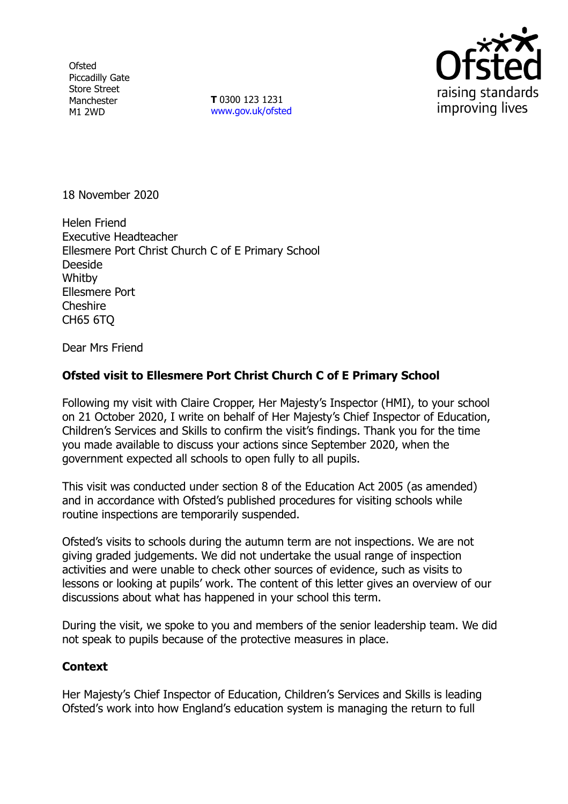**Ofsted** Piccadilly Gate Store Street Manchester M1 2WD

**T** 0300 123 1231 [www.gov.uk/ofsted](http://www.gov.uk/ofsted)



18 November 2020

Helen Friend Executive Headteacher Ellesmere Port Christ Church C of E Primary School Deeside **Whitby** Ellesmere Port Cheshire CH65 6TQ

Dear Mrs Friend

## **Ofsted visit to Ellesmere Port Christ Church C of E Primary School**

Following my visit with Claire Cropper, Her Majesty's Inspector (HMI), to your school on 21 October 2020, I write on behalf of Her Majesty's Chief Inspector of Education, Children's Services and Skills to confirm the visit's findings. Thank you for the time you made available to discuss your actions since September 2020, when the government expected all schools to open fully to all pupils.

This visit was conducted under section 8 of the Education Act 2005 (as amended) and in accordance with Ofsted's published procedures for visiting schools while routine inspections are temporarily suspended.

Ofsted's visits to schools during the autumn term are not inspections. We are not giving graded judgements. We did not undertake the usual range of inspection activities and were unable to check other sources of evidence, such as visits to lessons or looking at pupils' work. The content of this letter gives an overview of our discussions about what has happened in your school this term.

During the visit, we spoke to you and members of the senior leadership team. We did not speak to pupils because of the protective measures in place.

## **Context**

Her Majesty's Chief Inspector of Education, Children's Services and Skills is leading Ofsted's work into how England's education system is managing the return to full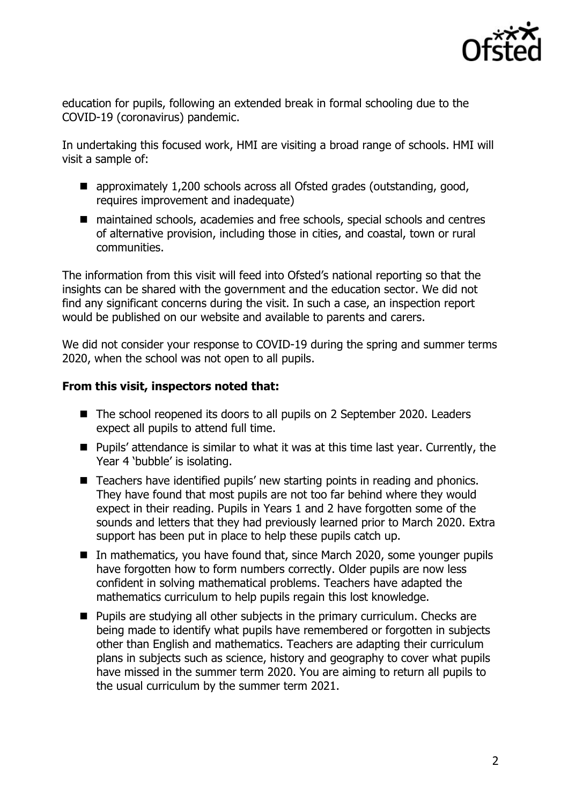

education for pupils, following an extended break in formal schooling due to the COVID-19 (coronavirus) pandemic.

In undertaking this focused work, HMI are visiting a broad range of schools. HMI will visit a sample of:

- approximately 1,200 schools across all Ofsted grades (outstanding, good, requires improvement and inadequate)
- maintained schools, academies and free schools, special schools and centres of alternative provision, including those in cities, and coastal, town or rural communities.

The information from this visit will feed into Ofsted's national reporting so that the insights can be shared with the government and the education sector. We did not find any significant concerns during the visit. In such a case, an inspection report would be published on our website and available to parents and carers.

We did not consider your response to COVID-19 during the spring and summer terms 2020, when the school was not open to all pupils.

## **From this visit, inspectors noted that:**

- The school reopened its doors to all pupils on 2 September 2020. Leaders expect all pupils to attend full time.
- Pupils' attendance is similar to what it was at this time last year. Currently, the Year 4 'bubble' is isolating.
- Teachers have identified pupils' new starting points in reading and phonics. They have found that most pupils are not too far behind where they would expect in their reading. Pupils in Years 1 and 2 have forgotten some of the sounds and letters that they had previously learned prior to March 2020. Extra support has been put in place to help these pupils catch up.
- In mathematics, you have found that, since March 2020, some younger pupils have forgotten how to form numbers correctly. Older pupils are now less confident in solving mathematical problems. Teachers have adapted the mathematics curriculum to help pupils regain this lost knowledge.
- **Pupils are studying all other subjects in the primary curriculum. Checks are** being made to identify what pupils have remembered or forgotten in subjects other than English and mathematics. Teachers are adapting their curriculum plans in subjects such as science, history and geography to cover what pupils have missed in the summer term 2020. You are aiming to return all pupils to the usual curriculum by the summer term 2021.